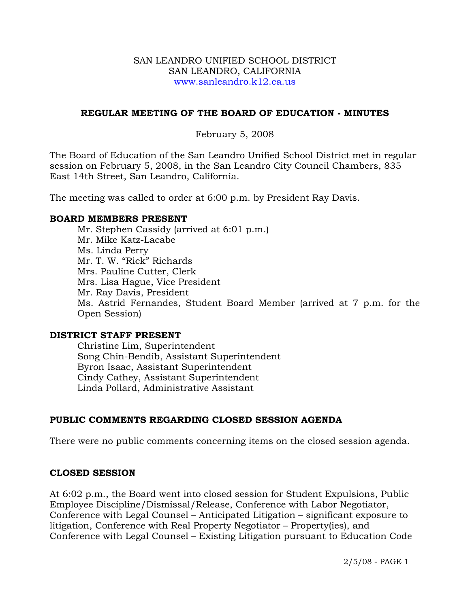#### SAN LEANDRO UNIFIED SCHOOL DISTRICT SAN LEANDRO, CALIFORNIA www.sanleandro.k12.ca.us

## **REGULAR MEETING OF THE BOARD OF EDUCATION - MINUTES**

### February 5, 2008

The Board of Education of the San Leandro Unified School District met in regular session on February 5, 2008, in the San Leandro City Council Chambers, 835 East 14th Street, San Leandro, California.

The meeting was called to order at 6:00 p.m. by President Ray Davis.

#### **BOARD MEMBERS PRESENT**

Mr. Stephen Cassidy (arrived at 6:01 p.m.) Mr. Mike Katz-Lacabe Ms. Linda Perry Mr. T. W. "Rick" Richards Mrs. Pauline Cutter, Clerk Mrs. Lisa Hague, Vice President Mr. Ray Davis, President Ms. Astrid Fernandes, Student Board Member (arrived at 7 p.m. for the Open Session)

#### **DISTRICT STAFF PRESENT**

Christine Lim, Superintendent Song Chin-Bendib, Assistant Superintendent Byron Isaac, Assistant Superintendent Cindy Cathey, Assistant Superintendent Linda Pollard, Administrative Assistant

## **PUBLIC COMMENTS REGARDING CLOSED SESSION AGENDA**

There were no public comments concerning items on the closed session agenda.

## **CLOSED SESSION**

At 6:02 p.m., the Board went into closed session for Student Expulsions, Public Employee Discipline/Dismissal/Release, Conference with Labor Negotiator, Conference with Legal Counsel – Anticipated Litigation – significant exposure to litigation, Conference with Real Property Negotiator – Property(ies), and Conference with Legal Counsel – Existing Litigation pursuant to Education Code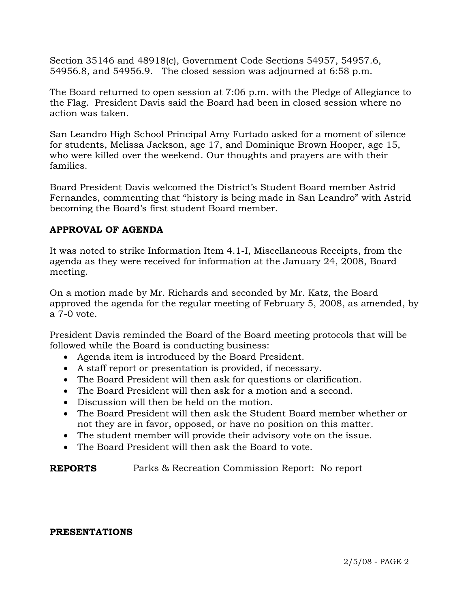Section 35146 and 48918(c), Government Code Sections 54957, 54957.6, 54956.8, and 54956.9. The closed session was adjourned at 6:58 p.m.

The Board returned to open session at 7:06 p.m. with the Pledge of Allegiance to the Flag. President Davis said the Board had been in closed session where no action was taken.

San Leandro High School Principal Amy Furtado asked for a moment of silence for students, Melissa Jackson, age 17, and Dominique Brown Hooper, age 15, who were killed over the weekend. Our thoughts and prayers are with their families.

Board President Davis welcomed the District's Student Board member Astrid Fernandes, commenting that "history is being made in San Leandro" with Astrid becoming the Board's first student Board member.

# **APPROVAL OF AGENDA**

It was noted to strike Information Item 4.1-I, Miscellaneous Receipts, from the agenda as they were received for information at the January 24, 2008, Board meeting.

On a motion made by Mr. Richards and seconded by Mr. Katz, the Board approved the agenda for the regular meeting of February 5, 2008, as amended, by a 7-0 vote.

President Davis reminded the Board of the Board meeting protocols that will be followed while the Board is conducting business:

- Agenda item is introduced by the Board President.
- A staff report or presentation is provided, if necessary.
- The Board President will then ask for questions or clarification.
- The Board President will then ask for a motion and a second.
- Discussion will then be held on the motion.
- The Board President will then ask the Student Board member whether or not they are in favor, opposed, or have no position on this matter.
- The student member will provide their advisory vote on the issue.
- The Board President will then ask the Board to vote.

**REPORTS** Parks & Recreation Commission Report: No report

#### **PRESENTATIONS**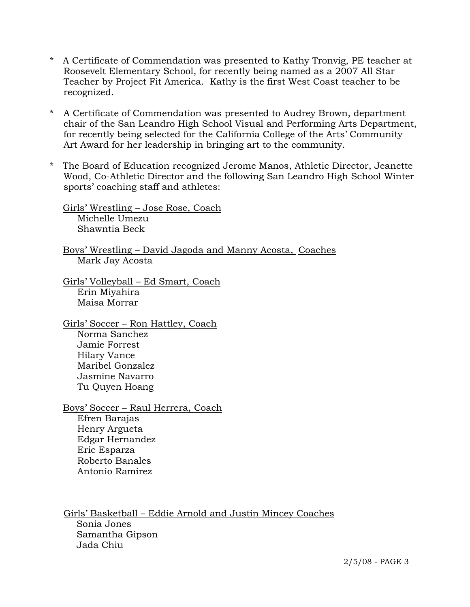- \* A Certificate of Commendation was presented to Kathy Tronvig, PE teacher at Roosevelt Elementary School, for recently being named as a 2007 All Star Teacher by Project Fit America. Kathy is the first West Coast teacher to be recognized.
- A Certificate of Commendation was presented to Audrey Brown, department chair of the San Leandro High School Visual and Performing Arts Department, for recently being selected for the California College of the Arts' Community Art Award for her leadership in bringing art to the community.
- \* The Board of Education recognized Jerome Manos, Athletic Director, Jeanette Wood, Co-Athletic Director and the following San Leandro High School Winter sports' coaching staff and athletes:

 Girls' Wrestling – Jose Rose, Coach Michelle Umezu Shawntia Beck

 Boys' Wrestling – David Jagoda and Manny Acosta, Coaches Mark Jay Acosta

 Girls' Volleyball – Ed Smart, Coach Erin Miyahira Maisa Morrar

 Girls' Soccer – Ron Hattley, Coach Norma Sanchez Jamie Forrest Hilary Vance Maribel Gonzalez Jasmine Navarro Tu Quyen Hoang

 Boys' Soccer – Raul Herrera, Coach Efren Barajas Henry Argueta Edgar Hernandez Eric Esparza Roberto Banales Antonio Ramirez

Girls' Basketball – Eddie Arnold and Justin Mincey Coaches Sonia Jones Samantha Gipson Jada Chiu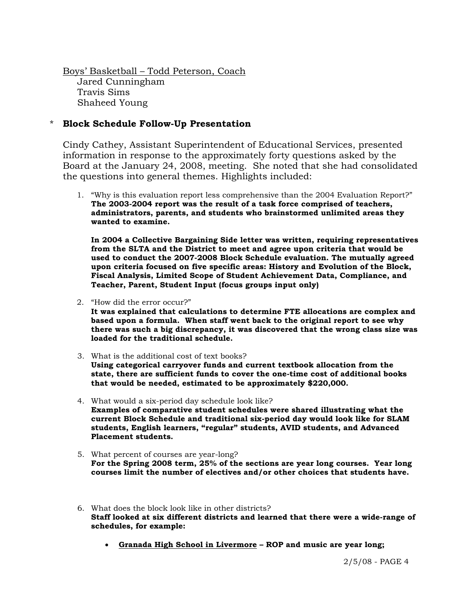Boys' Basketball – Todd Peterson, Coach Jared Cunningham Travis Sims Shaheed Young

## \* **Block Schedule Follow-Up Presentation**

Cindy Cathey, Assistant Superintendent of Educational Services, presented information in response to the approximately forty questions asked by the Board at the January 24, 2008, meeting. She noted that she had consolidated the questions into general themes. Highlights included:

1. "Why is this evaluation report less comprehensive than the 2004 Evaluation Report?" **The 2003-2004 report was the result of a task force comprised of teachers, administrators, parents, and students who brainstormed unlimited areas they wanted to examine.** 

**In 2004 a Collective Bargaining Side letter was written, requiring representatives from the SLTA and the District to meet and agree upon criteria that would be used to conduct the 2007-2008 Block Schedule evaluation. The mutually agreed upon criteria focused on five specific areas: History and Evolution of the Block, Fiscal Analysis, Limited Scope of Student Achievement Data, Compliance, and Teacher, Parent, Student Input (focus groups input only)** 

2. "How did the error occur?"

**It was explained that calculations to determine FTE allocations are complex and based upon a formula. When staff went back to the original report to see why there was such a big discrepancy, it was discovered that the wrong class size was loaded for the traditional schedule.** 

- 3. What is the additional cost of text books? **Using categorical carryover funds and current textbook allocation from the state, there are sufficient funds to cover the one-time cost of additional books that would be needed, estimated to be approximately \$220,000.**
- 4. What would a six-period day schedule look like? **Examples of comparative student schedules were shared illustrating what the current Block Schedule and traditional six-period day would look like for SLAM students, English learners, "regular" students, AVID students, and Advanced Placement students.**
- 5. What percent of courses are year-long? **For the Spring 2008 term, 25% of the sections are year long courses. Year long courses limit the number of electives and/or other choices that students have.**
- 6. What does the block look like in other districts? **Staff looked at six different districts and learned that there were a wide-range of schedules, for example:** 
	- **Granada High School in Livermore ROP and music are year long;**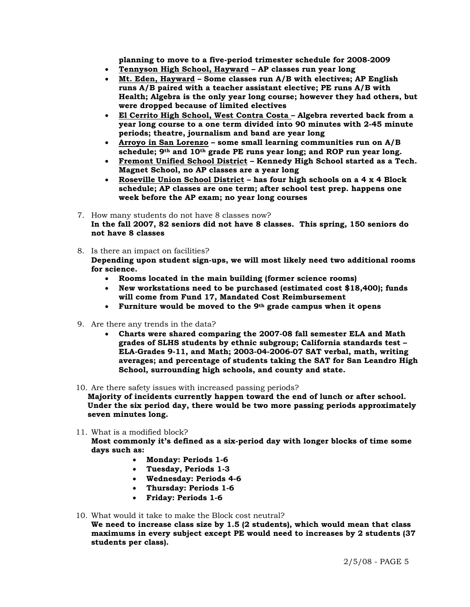**planning to move to a five-period trimester schedule for 2008-2009** 

- **Tennyson High School, Hayward AP classes run year long**
- **Mt. Eden, Hayward Some classes run A/B with electives; AP English runs A/B paired with a teacher assistant elective; PE runs A/B with Health; Algebra is the only year long course; however they had others, but were dropped because of limited electives**
- **El Cerrito High School, West Contra Costa Algebra reverted back from a year long course to a one term divided into 90 minutes with 2-45 minute periods; theatre, journalism and band are year long**
- **Arroyo in San Lorenzo some small learning communities run on A/B schedule; 9th and 10th grade PE runs year long; and ROP run year long.**
- **Fremont Unified School District Kennedy High School started as a Tech. Magnet School, no AP classes are a year long**
- **Roseville Union School District has four high schools on a 4 x 4 Block schedule; AP classes are one term; after school test prep. happens one week before the AP exam; no year long courses**
- 7. How many students do not have 8 classes now? **In the fall 2007, 82 seniors did not have 8 classes. This spring, 150 seniors do not have 8 classes**
- 8. Is there an impact on facilities? **Depending upon student sign-ups, we will most likely need two additional rooms for science.** 
	- **Rooms located in the main building (former science rooms)**
	- **New workstations need to be purchased (estimated cost \$18,400); funds will come from Fund 17, Mandated Cost Reimbursement**
	- **Furniture would be moved to the 9th grade campus when it opens**
- 9. Are there any trends in the data?
	- **Charts were shared comparing the 2007-08 fall semester ELA and Math grades of SLHS students by ethnic subgroup; California standards test – ELA-Grades 9-11, and Math; 2003-04-2006-07 SAT verbal, math, writing averages; and percentage of students taking the SAT for San Leandro High School, surrounding high schools, and county and state.**

10. Are there safety issues with increased passing periods?

**Majority of incidents currently happen toward the end of lunch or after school. Under the six period day, there would be two more passing periods approximately seven minutes long.** 

11. What is a modified block?

**Most commonly it's defined as a six-period day with longer blocks of time some days such as:** 

- **Monday: Periods 1-6**
- **Tuesday, Periods 1-3**
- **Wednesday: Periods 4-6**
- **Thursday: Periods 1-6**
- **Friday: Periods 1-6**
- 10. What would it take to make the Block cost neutral?

**We need to increase class size by 1.5 (2 students), which would mean that class maximums in every subject except PE would need to increases by 2 students (37 students per class).**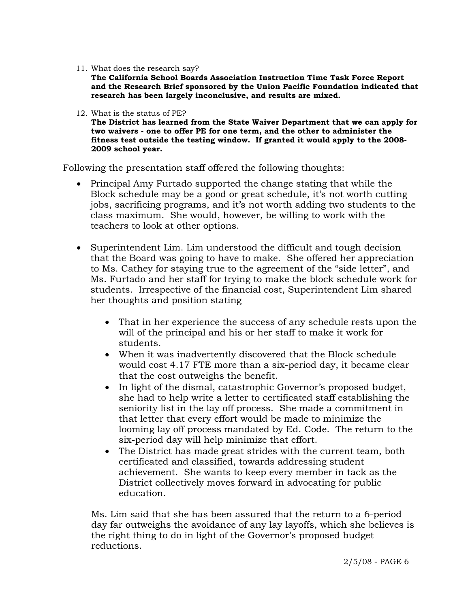11. What does the research say?

**The California School Boards Association Instruction Time Task Force Report and the Research Brief sponsored by the Union Pacific Foundation indicated that research has been largely inconclusive, and results are mixed.** 

12. What is the status of PE?

**The District has learned from the State Waiver Department that we can apply for two waivers - one to offer PE for one term, and the other to administer the fitness test outside the testing window. If granted it would apply to the 2008- 2009 school year.** 

Following the presentation staff offered the following thoughts:

- Principal Amy Furtado supported the change stating that while the Block schedule may be a good or great schedule, it's not worth cutting jobs, sacrificing programs, and it's not worth adding two students to the class maximum. She would, however, be willing to work with the teachers to look at other options.
- Superintendent Lim. Lim understood the difficult and tough decision that the Board was going to have to make. She offered her appreciation to Ms. Cathey for staying true to the agreement of the "side letter", and Ms. Furtado and her staff for trying to make the block schedule work for students. Irrespective of the financial cost, Superintendent Lim shared her thoughts and position stating
	- That in her experience the success of any schedule rests upon the will of the principal and his or her staff to make it work for students.
	- When it was inadvertently discovered that the Block schedule would cost 4.17 FTE more than a six-period day, it became clear that the cost outweighs the benefit.
	- In light of the dismal, catastrophic Governor's proposed budget, she had to help write a letter to certificated staff establishing the seniority list in the lay off process. She made a commitment in that letter that every effort would be made to minimize the looming lay off process mandated by Ed. Code. The return to the six-period day will help minimize that effort.
	- The District has made great strides with the current team, both certificated and classified, towards addressing student achievement. She wants to keep every member in tack as the District collectively moves forward in advocating for public education.

Ms. Lim said that she has been assured that the return to a 6-period day far outweighs the avoidance of any lay layoffs, which she believes is the right thing to do in light of the Governor's proposed budget reductions.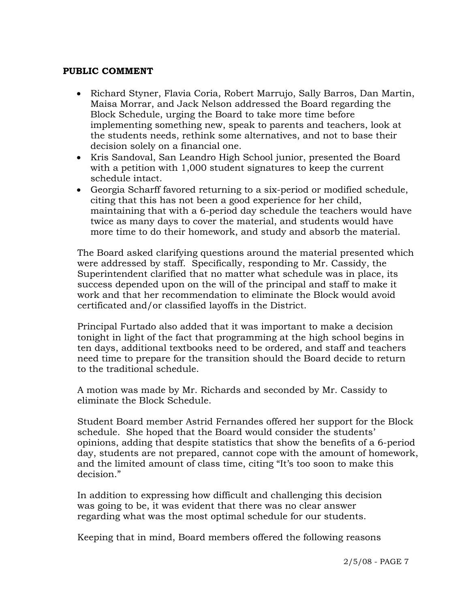### **PUBLIC COMMENT**

- Richard Styner, Flavia Coria, Robert Marrujo, Sally Barros, Dan Martin, Maisa Morrar, and Jack Nelson addressed the Board regarding the Block Schedule, urging the Board to take more time before implementing something new, speak to parents and teachers, look at the students needs, rethink some alternatives, and not to base their decision solely on a financial one.
- Kris Sandoval, San Leandro High School junior, presented the Board with a petition with 1,000 student signatures to keep the current schedule intact.
- Georgia Scharff favored returning to a six-period or modified schedule, citing that this has not been a good experience for her child, maintaining that with a 6-period day schedule the teachers would have twice as many days to cover the material, and students would have more time to do their homework, and study and absorb the material.

 The Board asked clarifying questions around the material presented which were addressed by staff. Specifically, responding to Mr. Cassidy, the Superintendent clarified that no matter what schedule was in place, its success depended upon on the will of the principal and staff to make it work and that her recommendation to eliminate the Block would avoid certificated and/or classified layoffs in the District.

 Principal Furtado also added that it was important to make a decision tonight in light of the fact that programming at the high school begins in ten days, additional textbooks need to be ordered, and staff and teachers need time to prepare for the transition should the Board decide to return to the traditional schedule.

 A motion was made by Mr. Richards and seconded by Mr. Cassidy to eliminate the Block Schedule.

 Student Board member Astrid Fernandes offered her support for the Block schedule. She hoped that the Board would consider the students' opinions, adding that despite statistics that show the benefits of a 6-period day, students are not prepared, cannot cope with the amount of homework, and the limited amount of class time, citing "It's too soon to make this decision."

 In addition to expressing how difficult and challenging this decision was going to be, it was evident that there was no clear answer regarding what was the most optimal schedule for our students.

Keeping that in mind, Board members offered the following reasons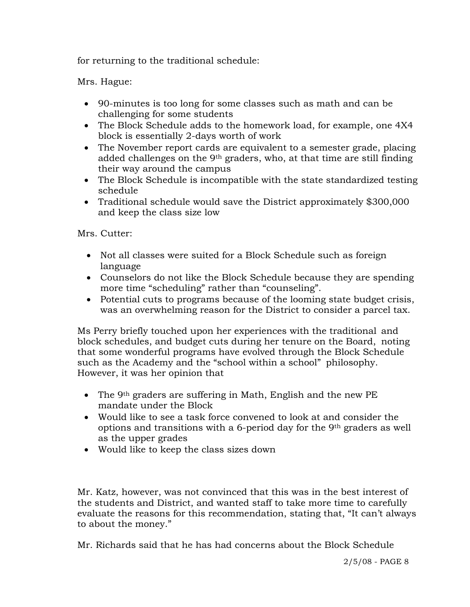for returning to the traditional schedule:

Mrs. Hague:

- 90-minutes is too long for some classes such as math and can be challenging for some students
- The Block Schedule adds to the homework load, for example, one 4X4 block is essentially 2-days worth of work
- The November report cards are equivalent to a semester grade, placing added challenges on the  $9<sup>th</sup>$  graders, who, at that time are still finding their way around the campus
- The Block Schedule is incompatible with the state standardized testing schedule
- Traditional schedule would save the District approximately \$300,000 and keep the class size low

Mrs. Cutter:

- Not all classes were suited for a Block Schedule such as foreign language
- Counselors do not like the Block Schedule because they are spending more time "scheduling" rather than "counseling".
- Potential cuts to programs because of the looming state budget crisis, was an overwhelming reason for the District to consider a parcel tax.

Ms Perry briefly touched upon her experiences with the traditional and block schedules, and budget cuts during her tenure on the Board, noting that some wonderful programs have evolved through the Block Schedule such as the Academy and the "school within a school" philosophy. However, it was her opinion that

- The 9<sup>th</sup> graders are suffering in Math, English and the new PE mandate under the Block
- Would like to see a task force convened to look at and consider the options and transitions with a 6-period day for the 9th graders as well as the upper grades
- Would like to keep the class sizes down

Mr. Katz, however, was not convinced that this was in the best interest of the students and District, and wanted staff to take more time to carefully evaluate the reasons for this recommendation, stating that, "It can't always to about the money."

Mr. Richards said that he has had concerns about the Block Schedule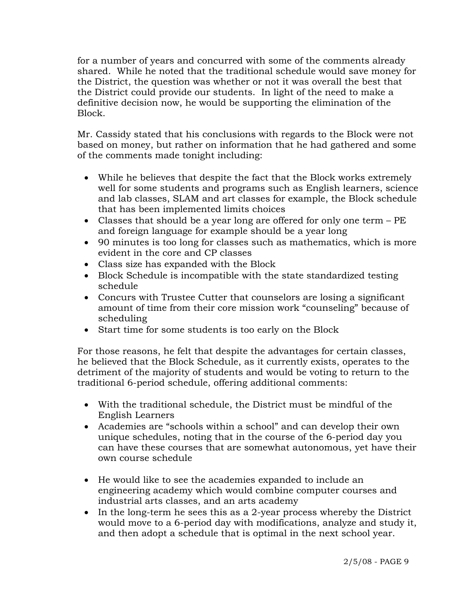for a number of years and concurred with some of the comments already shared. While he noted that the traditional schedule would save money for the District, the question was whether or not it was overall the best that the District could provide our students. In light of the need to make a definitive decision now, he would be supporting the elimination of the Block.

 Mr. Cassidy stated that his conclusions with regards to the Block were not based on money, but rather on information that he had gathered and some of the comments made tonight including:

- While he believes that despite the fact that the Block works extremely well for some students and programs such as English learners, science and lab classes, SLAM and art classes for example, the Block schedule that has been implemented limits choices
- Classes that should be a year long are offered for only one term PE and foreign language for example should be a year long
- 90 minutes is too long for classes such as mathematics, which is more evident in the core and CP classes
- Class size has expanded with the Block
- Block Schedule is incompatible with the state standardized testing schedule
- Concurs with Trustee Cutter that counselors are losing a significant amount of time from their core mission work "counseling" because of scheduling
- Start time for some students is too early on the Block

For those reasons, he felt that despite the advantages for certain classes, he believed that the Block Schedule, as it currently exists, operates to the detriment of the majority of students and would be voting to return to the traditional 6-period schedule, offering additional comments:

- With the traditional schedule, the District must be mindful of the English Learners
- Academies are "schools within a school" and can develop their own unique schedules, noting that in the course of the 6-period day you can have these courses that are somewhat autonomous, yet have their own course schedule
- He would like to see the academies expanded to include an engineering academy which would combine computer courses and industrial arts classes, and an arts academy
- In the long-term he sees this as a 2-year process whereby the District would move to a 6-period day with modifications, analyze and study it, and then adopt a schedule that is optimal in the next school year.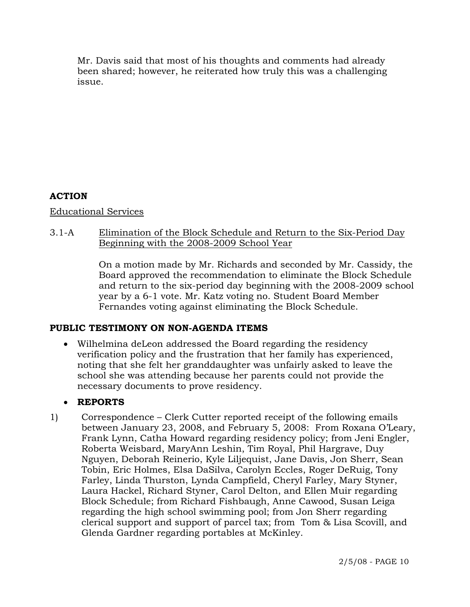Mr. Davis said that most of his thoughts and comments had already been shared; however, he reiterated how truly this was a challenging issue.

## **ACTION**

Educational Services

## 3.1-A Elimination of the Block Schedule and Return to the Six-Period Day Beginning with the 2008-2009 School Year

On a motion made by Mr. Richards and seconded by Mr. Cassidy, the Board approved the recommendation to eliminate the Block Schedule and return to the six-period day beginning with the 2008-2009 school year by a 6-1 vote. Mr. Katz voting no. Student Board Member Fernandes voting against eliminating the Block Schedule.

## **PUBLIC TESTIMONY ON NON-AGENDA ITEMS**

• Wilhelmina deLeon addressed the Board regarding the residency verification policy and the frustration that her family has experienced, noting that she felt her granddaughter was unfairly asked to leave the school she was attending because her parents could not provide the necessary documents to prove residency.

# • **REPORTS**

1) Correspondence – Clerk Cutter reported receipt of the following emails between January 23, 2008, and February 5, 2008: From Roxana O'Leary, Frank Lynn, Catha Howard regarding residency policy; from Jeni Engler, Roberta Weisbard, MaryAnn Leshin, Tim Royal, Phil Hargrave, Duy Nguyen, Deborah Reinerio, Kyle Liljequist, Jane Davis, Jon Sherr, Sean Tobin, Eric Holmes, Elsa DaSilva, Carolyn Eccles, Roger DeRuig, Tony Farley, Linda Thurston, Lynda Campfield, Cheryl Farley, Mary Styner, Laura Hackel, Richard Styner, Carol Delton, and Ellen Muir regarding Block Schedule; from Richard Fishbaugh, Anne Cawood, Susan Leiga regarding the high school swimming pool; from Jon Sherr regarding clerical support and support of parcel tax; from Tom & Lisa Scovill, and Glenda Gardner regarding portables at McKinley.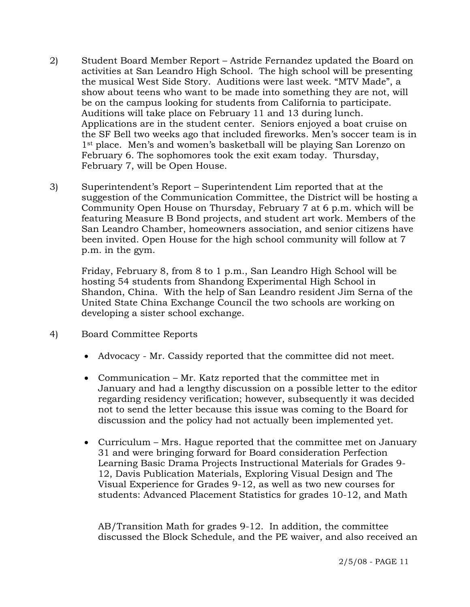- 2) Student Board Member Report Astride Fernandez updated the Board on activities at San Leandro High School. The high school will be presenting the musical West Side Story. Auditions were last week. "MTV Made", a show about teens who want to be made into something they are not, will be on the campus looking for students from California to participate. Auditions will take place on February 11 and 13 during lunch. Applications are in the student center. Seniors enjoyed a boat cruise on the SF Bell two weeks ago that included fireworks. Men's soccer team is in 1<sup>st</sup> place. Men's and women's basketball will be playing San Lorenzo on February 6. The sophomores took the exit exam today. Thursday, February 7, will be Open House.
- 3) Superintendent's Report Superintendent Lim reported that at the suggestion of the Communication Committee, the District will be hosting a Community Open House on Thursday, February 7 at 6 p.m. which will be featuring Measure B Bond projects, and student art work. Members of the San Leandro Chamber, homeowners association, and senior citizens have been invited. Open House for the high school community will follow at 7 p.m. in the gym.

Friday, February 8, from 8 to 1 p.m., San Leandro High School will be hosting 54 students from Shandong Experimental High School in Shandon, China. With the help of San Leandro resident Jim Serna of the United State China Exchange Council the two schools are working on developing a sister school exchange.

- 4) Board Committee Reports
	- Advocacy Mr. Cassidy reported that the committee did not meet.
	- Communication Mr. Katz reported that the committee met in January and had a lengthy discussion on a possible letter to the editor regarding residency verification; however, subsequently it was decided not to send the letter because this issue was coming to the Board for discussion and the policy had not actually been implemented yet.
	- Curriculum Mrs. Hague reported that the committee met on January 31 and were bringing forward for Board consideration Perfection Learning Basic Drama Projects Instructional Materials for Grades 9- 12, Davis Publication Materials, Exploring Visual Design and The Visual Experience for Grades 9-12, as well as two new courses for students: Advanced Placement Statistics for grades 10-12, and Math

 AB/Transition Math for grades 9-12. In addition, the committee discussed the Block Schedule, and the PE waiver, and also received an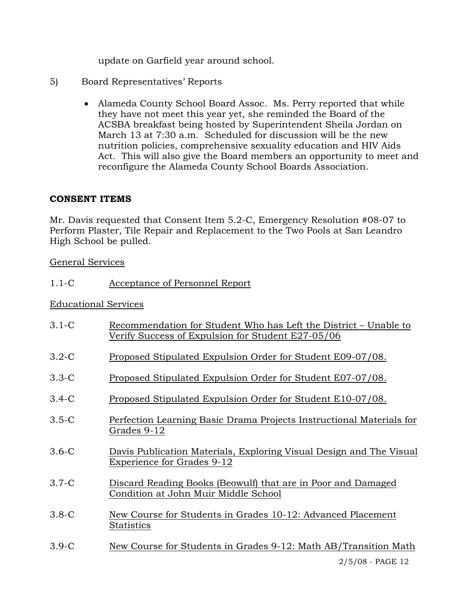update on Garfield year around school.

- 5) Board Representatives' Reports
	- Alameda County School Board Assoc. Ms. Perry reported that while they have not meet this year yet, she reminded the Board of the ACSBA breakfast being hosted by Superintendent Sheila Jordan on March 13 at 7:30 a.m. Scheduled for discussion will be the new nutrition policies, comprehensive sexuality education and HIV Aids Act. This will also give the Board members an opportunity to meet and reconfigure the Alameda County School Boards Association.

# **CONSENT ITEMS**

Mr. Davis requested that Consent Item 5.2-C, Emergency Resolution #08-07 to Perform Plaster, Tile Repair and Replacement to the Two Pools at San Leandro High School be pulled.

General Services

1.1-C Acceptance of Personnel Report

## Educational Services

| $3.1-C$ | Recommendation for Student Who has Left the District – Unable to<br>Verify Success of Expulsion for Student E27-05/06 |
|---------|-----------------------------------------------------------------------------------------------------------------------|
| $3.2-C$ | Proposed Stipulated Expulsion Order for Student E09-07/08.                                                            |
| $3.3-C$ | Proposed Stipulated Expulsion Order for Student E07-07/08.                                                            |
| $3.4-C$ | Proposed Stipulated Expulsion Order for Student E10-07/08.                                                            |
| $3.5-C$ | Perfection Learning Basic Drama Projects Instructional Materials for<br>Grades 9-12                                   |
| $3.6-C$ | Davis Publication Materials, Exploring Visual Design and The Visual<br><b>Experience for Grades 9-12</b>              |
| $3.7-C$ | Discard Reading Books (Beowulf) that are in Poor and Damaged<br>Condition at John Muir Middle School                  |
| $3.8-C$ | New Course for Students in Grades 10-12: Advanced Placement<br>Statistics                                             |
| $3.9-C$ | New Course for Students in Grades 9-12: Math AB/Transition Math                                                       |
|         | 2/5/08 - PAGE 12                                                                                                      |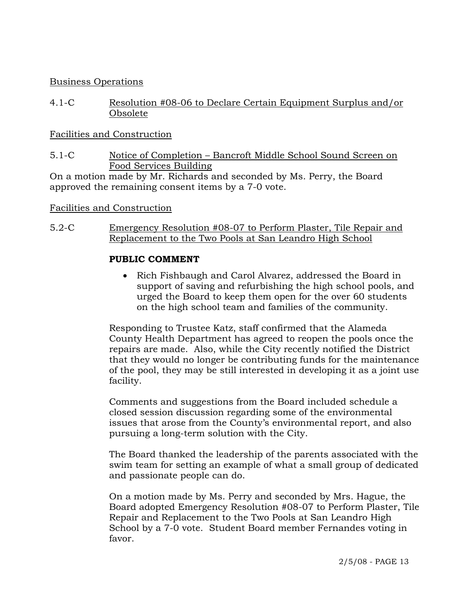### Business Operations

4.1-C Resolution #08-06 to Declare Certain Equipment Surplus and/or Obsolete

### Facilities and Construction

5.1-C Notice of Completion – Bancroft Middle School Sound Screen on Food Services Building

On a motion made by Mr. Richards and seconded by Ms. Perry, the Board approved the remaining consent items by a 7-0 vote.

### Facilities and Construction

5.2-C Emergency Resolution #08-07 to Perform Plaster, Tile Repair and Replacement to the Two Pools at San Leandro High School

#### **PUBLIC COMMENT**

• Rich Fishbaugh and Carol Alvarez, addressed the Board in support of saving and refurbishing the high school pools, and urged the Board to keep them open for the over 60 students on the high school team and families of the community.

Responding to Trustee Katz, staff confirmed that the Alameda County Health Department has agreed to reopen the pools once the repairs are made. Also, while the City recently notified the District that they would no longer be contributing funds for the maintenance of the pool, they may be still interested in developing it as a joint use facility.

Comments and suggestions from the Board included schedule a closed session discussion regarding some of the environmental issues that arose from the County's environmental report, and also pursuing a long-term solution with the City.

The Board thanked the leadership of the parents associated with the swim team for setting an example of what a small group of dedicated and passionate people can do.

On a motion made by Ms. Perry and seconded by Mrs. Hague, the Board adopted Emergency Resolution #08-07 to Perform Plaster, Tile Repair and Replacement to the Two Pools at San Leandro High School by a 7-0 vote. Student Board member Fernandes voting in favor.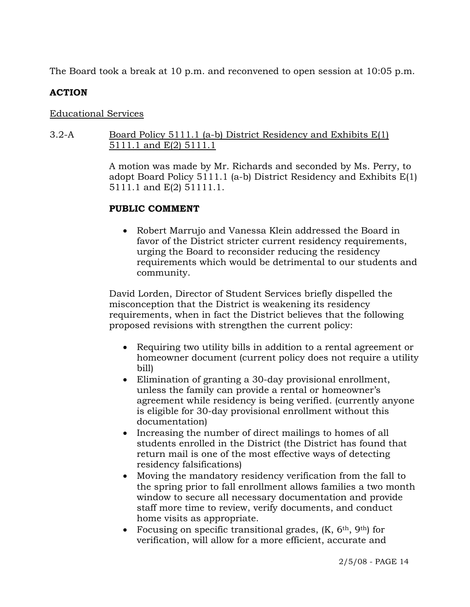The Board took a break at 10 p.m. and reconvened to open session at 10:05 p.m.

## **ACTION**

## Educational Services

## 3.2-A Board Policy 5111.1 (a-b) District Residency and Exhibits E(1) 5111.1 and E(2) 5111.1

A motion was made by Mr. Richards and seconded by Ms. Perry, to adopt Board Policy 5111.1 (a-b) District Residency and Exhibits E(1) 5111.1 and E(2) 51111.1.

## **PUBLIC COMMENT**

• Robert Marrujo and Vanessa Klein addressed the Board in favor of the District stricter current residency requirements, urging the Board to reconsider reducing the residency requirements which would be detrimental to our students and community.

David Lorden, Director of Student Services briefly dispelled the misconception that the District is weakening its residency requirements, when in fact the District believes that the following proposed revisions with strengthen the current policy:

- Requiring two utility bills in addition to a rental agreement or homeowner document (current policy does not require a utility bill)
- Elimination of granting a 30-day provisional enrollment, unless the family can provide a rental or homeowner's agreement while residency is being verified. (currently anyone is eligible for 30-day provisional enrollment without this documentation)
- Increasing the number of direct mailings to homes of all students enrolled in the District (the District has found that return mail is one of the most effective ways of detecting residency falsifications)
- Moving the mandatory residency verification from the fall to the spring prior to fall enrollment allows families a two month window to secure all necessary documentation and provide staff more time to review, verify documents, and conduct home visits as appropriate.
- Focusing on specific transitional grades,  $(K, 6<sup>th</sup>, 9<sup>th</sup>)$  for verification, will allow for a more efficient, accurate and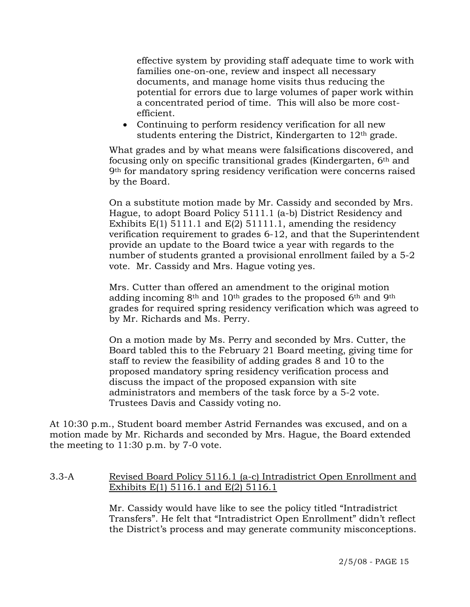effective system by providing staff adequate time to work with families one-on-one, review and inspect all necessary documents, and manage home visits thus reducing the potential for errors due to large volumes of paper work within a concentrated period of time. This will also be more costefficient.

• Continuing to perform residency verification for all new students entering the District, Kindergarten to 12th grade.

What grades and by what means were falsifications discovered, and focusing only on specific transitional grades (Kindergarten, 6th and 9th for mandatory spring residency verification were concerns raised by the Board.

On a substitute motion made by Mr. Cassidy and seconded by Mrs. Hague, to adopt Board Policy 5111.1 (a-b) District Residency and Exhibits E(1) 5111.1 and E(2) 51111.1, amending the residency verification requirement to grades 6-12, and that the Superintendent provide an update to the Board twice a year with regards to the number of students granted a provisional enrollment failed by a 5-2 vote. Mr. Cassidy and Mrs. Hague voting yes.

Mrs. Cutter than offered an amendment to the original motion adding incoming  $8<sup>th</sup>$  and  $10<sup>th</sup>$  grades to the proposed 6<sup>th</sup> and 9<sup>th</sup> grades for required spring residency verification which was agreed to by Mr. Richards and Ms. Perry.

On a motion made by Ms. Perry and seconded by Mrs. Cutter, the Board tabled this to the February 21 Board meeting, giving time for staff to review the feasibility of adding grades 8 and 10 to the proposed mandatory spring residency verification process and discuss the impact of the proposed expansion with site administrators and members of the task force by a 5-2 vote. Trustees Davis and Cassidy voting no.

At 10:30 p.m., Student board member Astrid Fernandes was excused, and on a motion made by Mr. Richards and seconded by Mrs. Hague, the Board extended the meeting to 11:30 p.m. by 7-0 vote.

## 3.3-A Revised Board Policy 5116.1 (a-c) Intradistrict Open Enrollment and Exhibits E(1) 5116.1 and E(2) 5116.1

Mr. Cassidy would have like to see the policy titled "Intradistrict Transfers". He felt that "Intradistrict Open Enrollment" didn't reflect the District's process and may generate community misconceptions.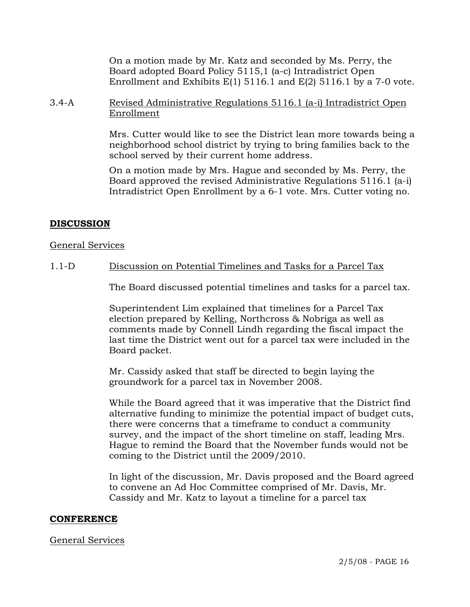On a motion made by Mr. Katz and seconded by Ms. Perry, the Board adopted Board Policy 5115,1 (a-c) Intradistrict Open Enrollment and Exhibits  $E(1)$  5116.1 and  $E(2)$  5116.1 by a 7-0 vote.

3.4-A Revised Administrative Regulations 5116.1 (a-i) Intradistrict Open Enrollment

> Mrs. Cutter would like to see the District lean more towards being a neighborhood school district by trying to bring families back to the school served by their current home address.

> On a motion made by Mrs. Hague and seconded by Ms. Perry, the Board approved the revised Administrative Regulations 5116.1 (a-i) Intradistrict Open Enrollment by a 6-1 vote. Mrs. Cutter voting no.

## **DISCUSSION**

#### General Services

1.1-D Discussion on Potential Timelines and Tasks for a Parcel Tax

The Board discussed potential timelines and tasks for a parcel tax.

Superintendent Lim explained that timelines for a Parcel Tax election prepared by Kelling, Northcross & Nobriga as well as comments made by Connell Lindh regarding the fiscal impact the last time the District went out for a parcel tax were included in the Board packet.

Mr. Cassidy asked that staff be directed to begin laying the groundwork for a parcel tax in November 2008.

While the Board agreed that it was imperative that the District find alternative funding to minimize the potential impact of budget cuts, there were concerns that a timeframe to conduct a community survey, and the impact of the short timeline on staff, leading Mrs. Hague to remind the Board that the November funds would not be coming to the District until the 2009/2010.

In light of the discussion, Mr. Davis proposed and the Board agreed to convene an Ad Hoc Committee comprised of Mr. Davis, Mr. Cassidy and Mr. Katz to layout a timeline for a parcel tax

#### **CONFERENCE**

#### General Services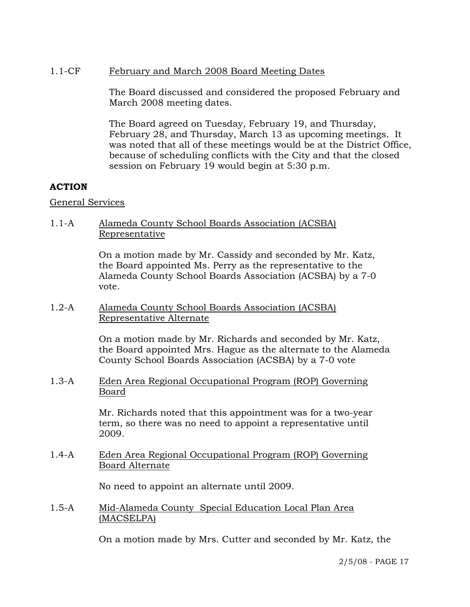## 1.1-CF February and March 2008 Board Meeting Dates

The Board discussed and considered the proposed February and March 2008 meeting dates.

The Board agreed on Tuesday, February 19, and Thursday, February 28, and Thursday, March 13 as upcoming meetings. It was noted that all of these meetings would be at the District Office, because of scheduling conflicts with the City and that the closed session on February 19 would begin at 5:30 p.m.

# **ACTION**

### General Services

## 1.1-A Alameda County School Boards Association (ACSBA) Representative

On a motion made by Mr. Cassidy and seconded by Mr. Katz, the Board appointed Ms. Perry as the representative to the Alameda County School Boards Association (ACSBA) by a 7-0 vote.

1.2-A Alameda County School Boards Association (ACSBA) Representative Alternate

> On a motion made by Mr. Richards and seconded by Mr. Katz, the Board appointed Mrs. Hague as the alternate to the Alameda County School Boards Association (ACSBA) by a 7-0 vote

1.3-A Eden Area Regional Occupational Program (ROP) Governing Board

> Mr. Richards noted that this appointment was for a two-year term, so there was no need to appoint a representative until 2009.

### 1.4-A Eden Area Regional Occupational Program (ROP) Governing Board Alternate

No need to appoint an alternate until 2009.

1.5-A Mid-Alameda County Special Education Local Plan Area (MACSELPA)

On a motion made by Mrs. Cutter and seconded by Mr. Katz, the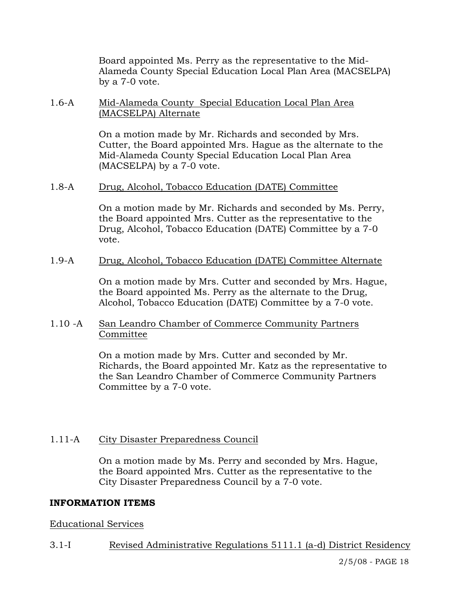Board appointed Ms. Perry as the representative to the Mid-Alameda County Special Education Local Plan Area (MACSELPA) by a 7-0 vote.

### 1.6-A Mid-Alameda County Special Education Local Plan Area (MACSELPA) Alternate

On a motion made by Mr. Richards and seconded by Mrs. Cutter, the Board appointed Mrs. Hague as the alternate to the Mid-Alameda County Special Education Local Plan Area (MACSELPA) by a 7-0 vote.

#### 1.8-A Drug, Alcohol, Tobacco Education (DATE) Committee

On a motion made by Mr. Richards and seconded by Ms. Perry, the Board appointed Mrs. Cutter as the representative to the Drug, Alcohol, Tobacco Education (DATE) Committee by a 7-0 vote.

### 1.9-A Drug, Alcohol, Tobacco Education (DATE) Committee Alternate

On a motion made by Mrs. Cutter and seconded by Mrs. Hague, the Board appointed Ms. Perry as the alternate to the Drug, Alcohol, Tobacco Education (DATE) Committee by a 7-0 vote.

### 1.10 -A San Leandro Chamber of Commerce Community Partners Committee

On a motion made by Mrs. Cutter and seconded by Mr. Richards, the Board appointed Mr. Katz as the representative to the San Leandro Chamber of Commerce Community Partners Committee by a 7-0 vote.

## 1.11-A City Disaster Preparedness Council

On a motion made by Ms. Perry and seconded by Mrs. Hague, the Board appointed Mrs. Cutter as the representative to the City Disaster Preparedness Council by a 7-0 vote.

## **INFORMATION ITEMS**

## Educational Services

## 3.1-I Revised Administrative Regulations 5111.1 (a-d) District Residency

2/5/08 - PAGE 18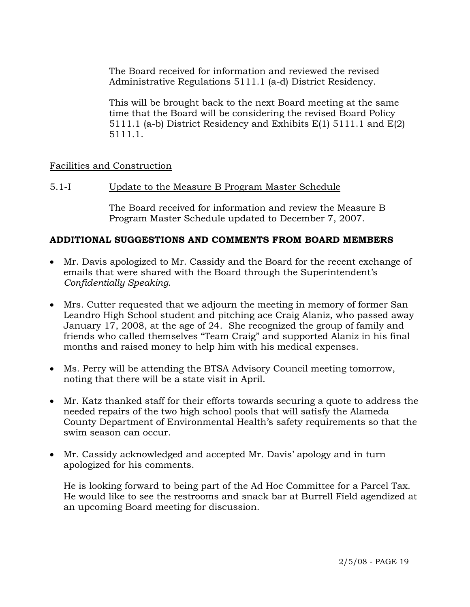The Board received for information and reviewed the revised Administrative Regulations 5111.1 (a-d) District Residency.

This will be brought back to the next Board meeting at the same time that the Board will be considering the revised Board Policy 5111.1 (a-b) District Residency and Exhibits E(1) 5111.1 and E(2) 5111.1.

### Facilities and Construction

#### 5.1-I Update to the Measure B Program Master Schedule

The Board received for information and review the Measure B Program Master Schedule updated to December 7, 2007.

### **ADDITIONAL SUGGESTIONS AND COMMENTS FROM BOARD MEMBERS**

- Mr. Davis apologized to Mr. Cassidy and the Board for the recent exchange of emails that were shared with the Board through the Superintendent's *Confidentially Speaking*.
- Mrs. Cutter requested that we adjourn the meeting in memory of former San Leandro High School student and pitching ace Craig Alaniz, who passed away January 17, 2008, at the age of 24. She recognized the group of family and friends who called themselves "Team Craig" and supported Alaniz in his final months and raised money to help him with his medical expenses.
- Ms. Perry will be attending the BTSA Advisory Council meeting tomorrow, noting that there will be a state visit in April.
- Mr. Katz thanked staff for their efforts towards securing a quote to address the needed repairs of the two high school pools that will satisfy the Alameda County Department of Environmental Health's safety requirements so that the swim season can occur.
- Mr. Cassidy acknowledged and accepted Mr. Davis' apology and in turn apologized for his comments.

 He is looking forward to being part of the Ad Hoc Committee for a Parcel Tax. He would like to see the restrooms and snack bar at Burrell Field agendized at an upcoming Board meeting for discussion.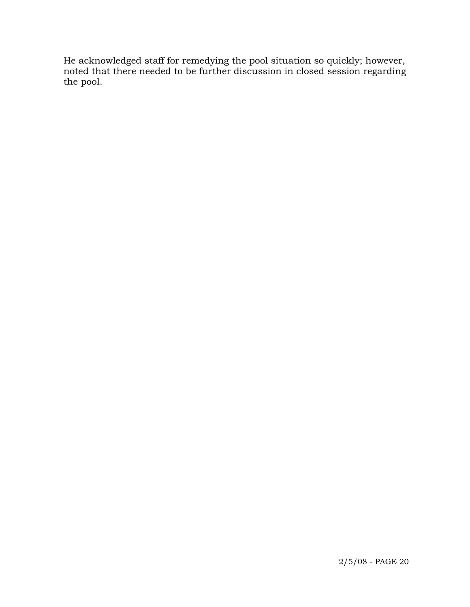He acknowledged staff for remedying the pool situation so quickly; however, noted that there needed to be further discussion in closed session regarding the pool.